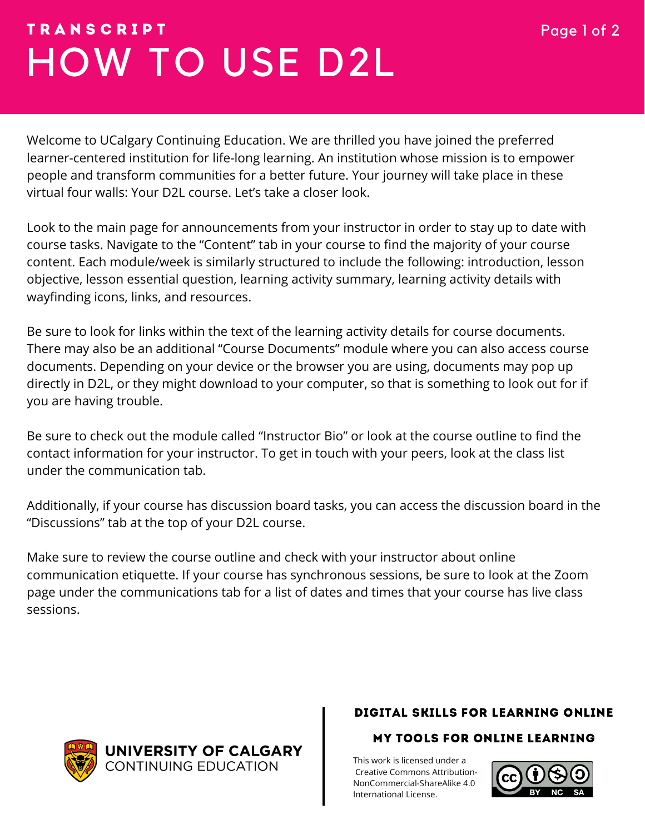# HOW TO USE D2L T R A N S C R I P T Page 1 of 2

Welcome to UCalgary Continuing Education. We are thrilled you have joined the preferred learner-centered institution for life-long learning. An institution whose mission is to empower people and transform communities for a better future. Your journey will take place in these virtual four walls: Your D2L course. Let's take a closer look.

Look to the main page for announcements from your instructor in order to stay up to date with course tasks. Navigate to the "Content" tab in your course to find the majority of your course content. Each module/week is similarly structured to include the following: introduction, lesson objective, lesson essential question, learning activity summary, learning activity details with wayfinding icons, links, and resources.

Be sure to look for links within the text of the learning activity details for course documents. There may also be an additional "Course Documents" module where you can also access course documents. Depending on your device or the browser you are using, documents may pop up directly in D2L, or they might download to your computer, so that is something to look out for if you are having trouble.

Be sure to check out the module called "Instructor Bio" or look at the course outline to find the contact information for your instructor. To get in touch with your peers, look at the class list under the communication tab.

Additionally, if your course has discussion board tasks, you can access the discussion board in the "Discussions" tab at the top of your D2L course.

Make sure to review the course outline and check with your instructor about online communication etiquette. If your course has synchronous sessions, be sure to look at the Zoom page under the communications tab for a list of dates and times that your course has live class sessions.

UNIVERSITY OF CALGARY **CONTINUING EDUCATION** 

### DIGITAL SKILLS FOR LEARNING ONLINE

### MY TOOLS FOR ONLINE LEARNING

[T](https://creativecommons.org/licenses/by-nc/4.0/)his work is licensed under a Creative Commons Attribution-[NonCommercial-ShareAlike 4.0](https://creativecommons.org/licenses/by-nc/4.0/) International License.